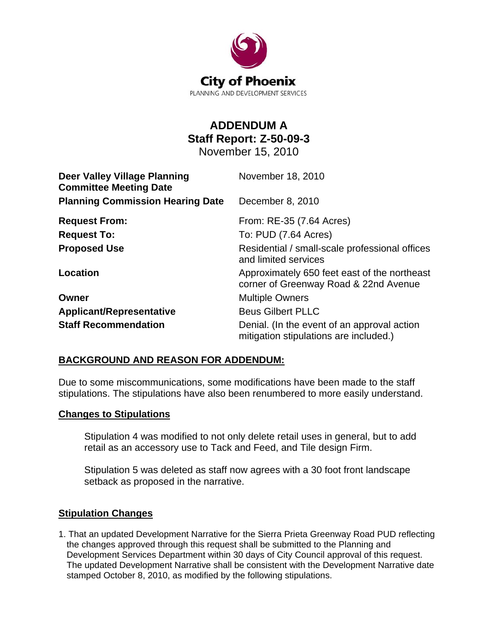

# **ADDENDUM A Staff Report: Z-50-09-3**

November 15, 2010

| <b>Deer Valley Village Planning</b><br><b>Committee Meeting Date</b> | November 18, 2010                                                                     |
|----------------------------------------------------------------------|---------------------------------------------------------------------------------------|
| <b>Planning Commission Hearing Date</b>                              | December 8, 2010                                                                      |
| <b>Request From:</b>                                                 | From: RE-35 (7.64 Acres)                                                              |
| <b>Request To:</b>                                                   | To: PUD (7.64 Acres)                                                                  |
| <b>Proposed Use</b>                                                  | Residential / small-scale professional offices<br>and limited services                |
| Location                                                             | Approximately 650 feet east of the northeast<br>corner of Greenway Road & 22nd Avenue |
| Owner                                                                | <b>Multiple Owners</b>                                                                |
| <b>Applicant/Representative</b>                                      | <b>Beus Gilbert PLLC</b>                                                              |
| <b>Staff Recommendation</b>                                          | Denial. (In the event of an approval action<br>mitigation stipulations are included.) |

### **BACKGROUND AND REASON FOR ADDENDUM:**

Due to some miscommunications, some modifications have been made to the staff stipulations. The stipulations have also been renumbered to more easily understand.

### **Changes to Stipulations**

Stipulation 4 was modified to not only delete retail uses in general, but to add retail as an accessory use to Tack and Feed, and Tile design Firm.

Stipulation 5 was deleted as staff now agrees with a 30 foot front landscape setback as proposed in the narrative.

### **Stipulation Changes**

1. That an updated Development Narrative for the Sierra Prieta Greenway Road PUD reflecting the changes approved through this request shall be submitted to the Planning and Development Services Department within 30 days of City Council approval of this request. The updated Development Narrative shall be consistent with the Development Narrative date stamped October 8, 2010, as modified by the following stipulations.